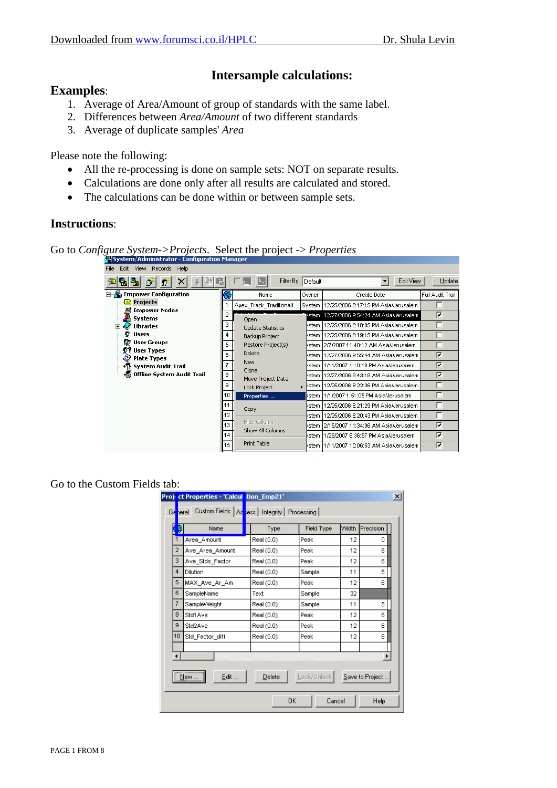# **Intersample calculations:**

## **Examples**:

- 1. Average of Area/Amount of group of standards with the same label.
- 2. Differences between *Area/Amount* of two different standards
- 3. Average of duplicate samples' *Area*

Please note the following:

- All the re-processing is done on sample sets: NOT on separate results.
- Calculations are done only after all results are calculated and stored.
- The calculations can be done within or between sample sets.

### **Instructions**:

Go to *Configure System->Projects*. Select the project -> *Properties*

| Records<br>File<br>Edit<br>Help<br><b>View</b> |     |                                 |         |                                             |                            |
|------------------------------------------------|-----|---------------------------------|---------|---------------------------------------------|----------------------------|
| 喝喝<br>咱<br>Đ                                   | Lel | Filter By: Default              |         | Edit View                                   | Update                     |
| <b>Empower Configuration</b>                   |     | Name                            | Owner   | Create Date                                 | Full Audit Trail           |
| <mark>ा</mark> Projects                        |     | Apex_Track_Traditional1         | System  | 12/25/2006 6:17:15 PM Asia/Jerusalem        |                            |
| Empower Nodes وليها<br><b>Systems</b>          | 2   | Open                            |         | [/stem 12/27/2006 9:54:24 AM Asia/Jerusalem | ⊽                          |
| Libraries                                      | 3   | <b>Update Statistics</b>        | kstern  | 12/25/2006 6:18:05 PM Asia/Jerusalem        | г                          |
| $E$ Users                                      | 4   | Backup Project                  | ∤stem.  | 12/25/2006 6:19:15 PM Asia/Jerusalem        | ┍                          |
| <b>B</b> User Groups                           | 5   | Restore Project(s)              | kstern  | 2/7/2007 11:40:12 AM Asia/Jerusalem         |                            |
| <b>OP User Types</b><br><b>B</b> Plate Types   | 6   | Delete                          | ⁄stem.  | 12/27/2006 9:55:44 AM Asia/Jerusalem        | $\overline{\mathbf{v}}$    |
| ◈¶ System Audit Trail                          | 7   | New                             | ⁄stem.  | 1/11/2007 1:10:10 PM Asia/Jerusalem         | $\overline{\triangledown}$ |
|                                                | 8   | Clone<br>Move Project Data      | ∤stem ∶ | 12/27/2006 9:43:18 AM Asia/Jerusalem        | $\overline{\mathbf{v}}$    |
|                                                | 9   | Lock Project                    | l∤stem  | 12/25/2006 6:22:36 PM Asia/Jerusalem        |                            |
|                                                | 10  | Properties                      | kstern. | 1/1/2007 1:51:05 PM Asia/Jerusalem          |                            |
|                                                | 11  | Copy                            | ⁄stem.  | 12/25/2006 6:21:29 PM Asia/Jerusalem        |                            |
|                                                | 12  |                                 | ⁄stem   | 12/25/2006 6:20:43 PM Asia/Jerusalem        |                            |
|                                                | 13  | Hide Column<br>Show All Columns | ⁄stem   | 2/15/2007 11:34:06 AM Asia/Jerusalem        | ⊽                          |
|                                                | 14  |                                 | ⁄stem   | 1/28/2007 6:36:57 PM Asia/Jerusalem         | ⊽                          |
|                                                | 15  | Print Table                     |         | /stem  1/11/2007 10:06:53 AM Asia/Jerusalem | ⊽                          |

Go to the Custom Fields tab:

|                                                               | Proj <mark>i ct Properties - 'Calcul i</mark> tion_Emp21 <b>'</b> |            |            |       |           | $\vert x \vert$ |
|---------------------------------------------------------------|-------------------------------------------------------------------|------------|------------|-------|-----------|-----------------|
| General                                                       | Custom Fields   Acress   Integrity   Processing                   |            |            |       |           |                 |
|                                                               | Name                                                              | Type       | Field Type | Width | Precision |                 |
| 1                                                             | Area_Amount                                                       | Real (0.0) | Peak       | 12    | 0         |                 |
| $\overline{2}$                                                | Ave Area Amount                                                   | Real (0.0) | Peak       | 12    | 6         |                 |
| 3                                                             | Ave_Stds_Factor                                                   | Real (0.0) | Peak       | 12    | 6         |                 |
| 4                                                             | Dilution                                                          | Real (0.0) | Sample     | 11    | 5         |                 |
| 5                                                             | MAX Ave Ar Am                                                     | Real (0.0) | Peak       | 12    | 6         |                 |
| 6                                                             | SampleName                                                        | Text       | Sample     | 32    |           |                 |
| 7                                                             | SampleWeight                                                      | Real (0.0) | Sample     | 11    | 5         |                 |
| 8                                                             | Std1Ave                                                           | Real (0.0) | Peak       | 12    | 6         |                 |
| 9                                                             | Std2Ave                                                           | Real (0.0) | Peak       | 12    | 6         |                 |
| 10                                                            | Std Factor diff                                                   | Real (0.0) | Peak       | 12    | 6         |                 |
|                                                               |                                                                   |            |            |       |           |                 |
| ⊣                                                             |                                                                   |            |            |       |           |                 |
| <br>Edit<br>Lock/Unlock<br>Delete<br>Save to Project.<br>New. |                                                                   |            |            |       |           |                 |
|                                                               |                                                                   | 0K         | Cancel     |       | Help      |                 |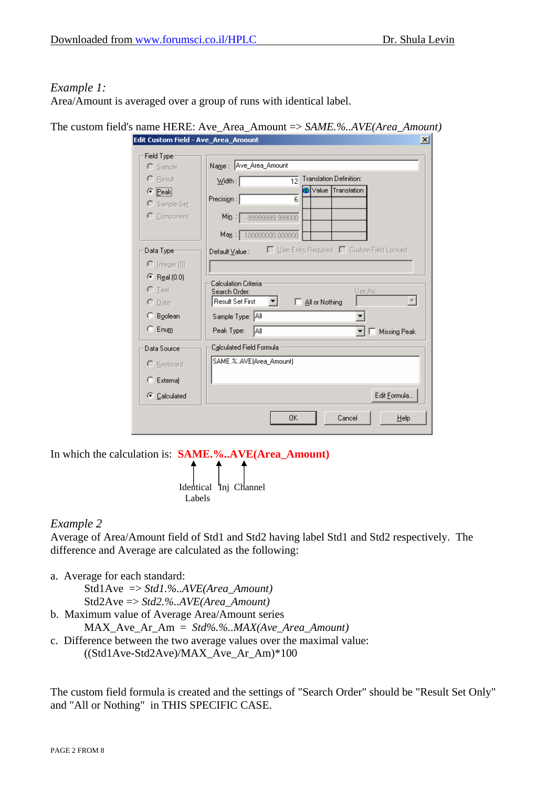#### *Example 1:*

Area/Amount is averaged over a group of runs with identical label.

| The custom field's name HERE: Ave_Area_Amount $\Rightarrow$ SAME.%AVE(Area_Amount) |  |  |  |
|------------------------------------------------------------------------------------|--|--|--|
|------------------------------------------------------------------------------------|--|--|--|

| COIL CUSCOM FIEIG - AVE_AFE&_AMOUNE | 싀                                                              |
|-------------------------------------|----------------------------------------------------------------|
| Field Type                          | Name: Ave_Area_Amount                                          |
| $\bigcirc$ Sample                   |                                                                |
| $\Gamma$ Result                     | <b>Translation Definition:</b><br>12<br>$W$ idth:              |
| $\bullet$ Peak                      | Translation<br>Value<br>Precision:<br>6                        |
| C Sample Set                        |                                                                |
| C Component                         | Min:  <br>-99999999.999000                                     |
|                                     | Mag.: 100000000.000000                                         |
| Data Type                           | □ User Entry Required ■ Custom Field Locked<br>Default Value : |
| $\bigcirc$ Integer (0)              |                                                                |
| $\bullet$ Real (0.0)                |                                                                |
| $\subset$ Text                      | Calculation Criteria<br>Use As:<br>Search Order:               |
| $\cap$ Date                         | <b>Result Set First</b><br>All or Nothing                      |
| C Boolean                           | Sample Type: All                                               |
| $C$ Enum                            | Peak Type:<br>lA⊪<br>Missing Peak                              |
| Data Source                         | Calculated Field Formula                                       |
| C Keyboard                          | SAME.%AVE(Area_Amount)                                         |
| $\subseteq$ External                |                                                                |
| C Calculated                        | Edit Formula                                                   |
|                                     | 0K<br>Cancel<br>Help                                           |

In which the calculation is: **SAME.%..AVE(Area\_Amount)**

Labels

# *Example 2*

Average of Area/Amount field of Std1 and Std2 having label Std1 and Std2 respectively. The difference and Average are calculated as the following:

a. Average for each standard:

Std1Ave => *Std1.%..AVE(Area\_Amount)* Std2Ave => *Std2.%..AVE(Area\_Amount)*

b. Maximum value of Average Area/Amount series

MAX\_Ave\_Ar\_Am = *Std%.%..MAX(Ave\_Area\_Amount)*

Identical Inj Channel

c. Difference between the two average values over the maximal value:  $((Std1Ave-Std2Ave)/MAX$  Ave Ar Am)\*100

The custom field formula is created and the settings of "Search Order" should be "Result Set Only" and "All or Nothing" in THIS SPECIFIC CASE.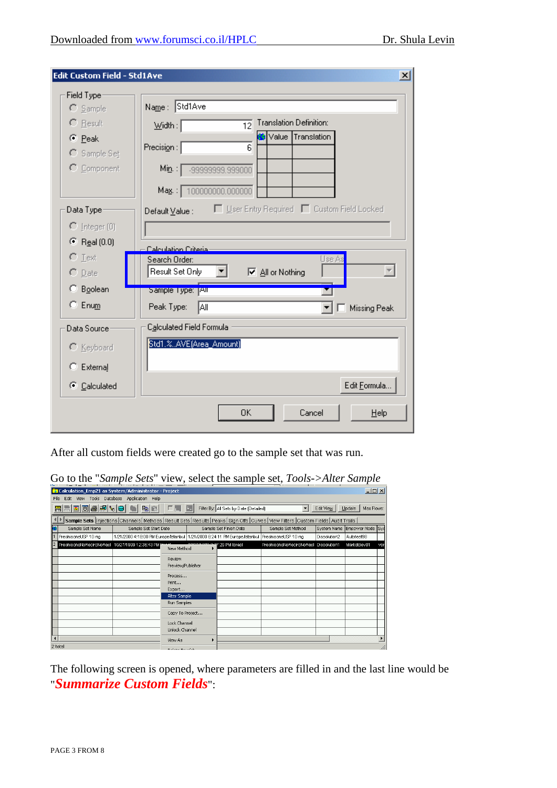| <b>Edit Custom Field - Std1Ave</b> | $\vert x \vert$                                                         |
|------------------------------------|-------------------------------------------------------------------------|
| Field Type                         |                                                                         |
| $\cap$ Sample                      | Name: Std1Ave                                                           |
| $\bigcap$ Result                   | <b>Translation Definition:</b><br>$W$ idth: $\lceil$<br>$\overline{12}$ |
| © Peak                             | Value Translation<br>Precision:<br>6                                    |
| $C$ Sample Set                     |                                                                         |
| C Component                        | Min. :<br>-999999999.999000                                             |
|                                    | Mag.: 100000000.000000                                                  |
| Data Type:                         | User Entry Required   Custom Field Locked<br>Default Value :            |
| $\bigcap$ [nteger (0)              |                                                                         |
| $\odot$ Real (0.0)                 | Calculation Criteria:                                                   |
| $\subset$ Text                     | Use As<br>Search Order:                                                 |
| $\cap$ Date                        | Result Set Only<br><b>▽</b> All or Nothing<br>▾∣                        |
| C Boolean                          | Sample Type: [All]                                                      |
| $C$ Enum                           | Peak Type:<br>l∧⊪<br><b>Missing Peak</b>                                |
| Data Source                        | Calculated Field Formula                                                |
| C Keyboard                         | Std1.%AVE(Area_Amount)                                                  |
| C External                         |                                                                         |
| Calculated                         | Edit Formula                                                            |
|                                    | 0K<br>Cancel<br>Help                                                    |

After all custom fields were created go to the sample set that was run.

| $\sim$ to the Bampic Bell $\sim$ rest, select the sample set, 100 is 71 file Bampic       |                                                                                                   |                   |   |                        |                                                                                                                                                |              |                              |     |
|-------------------------------------------------------------------------------------------|---------------------------------------------------------------------------------------------------|-------------------|---|------------------------|------------------------------------------------------------------------------------------------------------------------------------------------|--------------|------------------------------|-----|
|                                                                                           | $\Box$<br>& Calculation_Emp21 as System/Administrator - Project                                   |                   |   |                        |                                                                                                                                                |              |                              |     |
| File                                                                                      | Edit View Tools Database Application Help                                                         |                   |   |                        |                                                                                                                                                |              |                              |     |
| REFORMARE<br>Filter By: All Sets by Date (Detailed)<br>Max Rows:<br>Edit View  <br>Update |                                                                                                   |                   |   |                        |                                                                                                                                                |              |                              |     |
|                                                                                           |                                                                                                   |                   |   |                        | Sample Sets  Injections  Channels   Methods   Result Sets   Results   Peaks   Sign Offs   Curves   View Filters   Custom Fields   Audit Trails |              |                              |     |
| Sample Set Name                                                                           | Sample Set Start Date                                                                             |                   |   | Sample Set Finish Date | Sample Set Method                                                                                                                              |              | System Name Empower Node Sys |     |
| PrednisoneUSP 10 mg                                                                       | 1/21/2000 4:18:00 PM Europe/Istanbul   1/21/2000 6:24:11 PM Europe/Istanbul   PrednisoneUSP 10 mg |                   |   |                        |                                                                                                                                                | Dissolution2 | Autotest98                   |     |
| PrednisoneNoRecircNoRepl 10/27/1999 12:36:43 PM                                           |                                                                                                   | New Method        |   | 227:29 PM Israel       | PrednisoneNoRecircNoRepl Dissolution1                                                                                                          |              | Marketdev01                  | ver |
|                                                                                           |                                                                                                   |                   |   |                        |                                                                                                                                                |              |                              |     |
|                                                                                           |                                                                                                   | Review            |   |                        |                                                                                                                                                |              |                              |     |
|                                                                                           |                                                                                                   | Preview/Publisher |   |                        |                                                                                                                                                |              |                              |     |
|                                                                                           |                                                                                                   | Process           |   |                        |                                                                                                                                                |              |                              |     |
|                                                                                           |                                                                                                   | Print<br>Export   |   |                        |                                                                                                                                                |              |                              |     |
|                                                                                           |                                                                                                   | Alter Sample      |   |                        |                                                                                                                                                |              |                              |     |
|                                                                                           |                                                                                                   | Run Samples       |   |                        |                                                                                                                                                |              |                              |     |
|                                                                                           |                                                                                                   | Copy To Project   |   |                        |                                                                                                                                                |              |                              |     |
|                                                                                           |                                                                                                   |                   |   |                        |                                                                                                                                                |              |                              |     |
|                                                                                           |                                                                                                   | Lock Channel      |   |                        |                                                                                                                                                |              |                              |     |
|                                                                                           |                                                                                                   | Unlock Channel    |   |                        |                                                                                                                                                |              |                              |     |
| $\overline{\phantom{a}}$                                                                  |                                                                                                   | View As           | ▶ |                        |                                                                                                                                                |              |                              |     |
| 2 total                                                                                   |                                                                                                   |                   |   |                        |                                                                                                                                                |              |                              |     |

Go to the "*Sample Sets*" view, select the sample set, *Tools->Alter Sample*

The following screen is opened, where parameters are filled in and the last line would be "*Summarize Custom Fields*":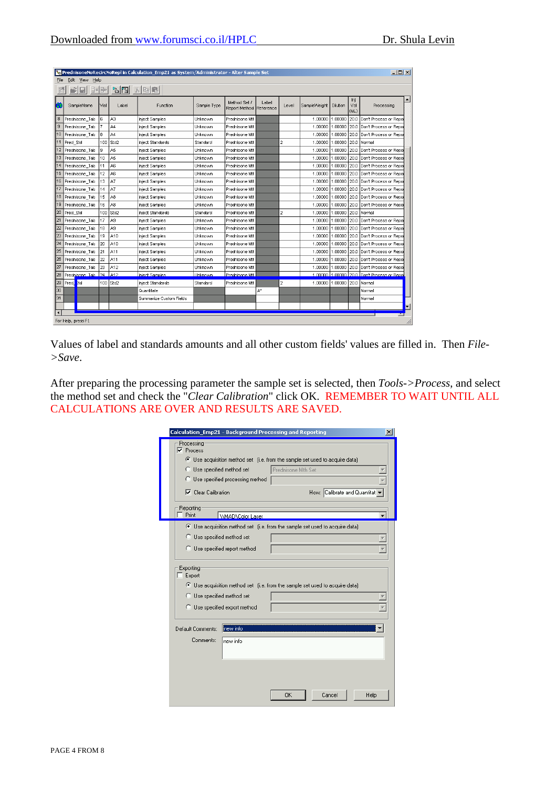|                      | $-101 \times 1$<br>on PrednisoneNoRecircNoRepl in Calculation Emp21 as System/Administrator - Alter Sample Set<br>Edit View Help<br>File |      |                |                         |             |                               |                    |                |              |          |                    |                                              |   |
|----------------------|------------------------------------------------------------------------------------------------------------------------------------------|------|----------------|-------------------------|-------------|-------------------------------|--------------------|----------------|--------------|----------|--------------------|----------------------------------------------|---|
|                      | $\sim$ $\sim$ $\sim$<br>日 韓國                                                                                                             |      |                |                         |             |                               |                    |                |              |          |                    |                                              |   |
|                      | SampleName                                                                                                                               | Vial | Label          | Function                | Sample Type | Method Set /<br>Report Method | Label<br>Reference | Level          | SampleWeight | Dilution | Inj<br>Vol<br>(UL) | Processing                                   |   |
| 8                    | Prednisone_Tab                                                                                                                           | 6    | A3             | Inject Samples          | Unknown     | Prednisone Mth                |                    |                | 1.00000      | 1.00000  | 20.0               | Don't Process or Repor                       |   |
| 9                    | Prednisone Tab                                                                                                                           | 7    | A <sub>4</sub> | Inject Samples          | Unknown     | Prednisone Mth                |                    |                | 1.00000      | 1.00000  | 20.0               | Don't Process or Repor                       |   |
| 10                   | Prednisone_Tab                                                                                                                           | 8    | A4             | Inject Samples          | Unknown     | Prednisone Mth                |                    |                | 1,00000      | 1.00000  | 20.0               | Don't Process or Repor                       |   |
| 11                   | Pred Std                                                                                                                                 | 100  | Std2           | Inject Standards        | Standard    | Prednisone Mth                |                    | $\overline{a}$ | 1.00000      | 1.00000  |                    | 20.0 Normal                                  |   |
| 12                   | Prednisone Tab                                                                                                                           | 9    | A5             | Inject Samples          | Unknown     | Prednisone Mth                |                    |                | 1.00000      | 1.00000  |                    | 20.0 Don't Process or Repor                  |   |
| 13                   | Prednisone Tab                                                                                                                           | 10   | A5             | Inject Samples          | Unknown     | Prednisone Mth                |                    |                | 1.00000      | 1.00000  | 20.0               | Don't Process or Repor                       |   |
| 14                   | Prednisone Tab                                                                                                                           | 11   | A6             | Inject Samples          | Unknown     | Prednisone Mth                |                    |                | 1.00000      | 1.00000  | 20.0               | Don't Process or Repor                       |   |
| 15                   | Prednisone Tab                                                                                                                           | 12   | A6             | Inject Samples          | Linknown    | Prednisone Mth                |                    |                | 1.00000      | 1.00000  |                    | 20.0 Don't Process or Repor                  |   |
| 16                   | Prednisone Tab                                                                                                                           | 13   | A7             | Inject Samples          | Unknown     | Prednisone Mth                |                    |                | 1.00000      | 1.00000  |                    | 20.0 Don't Process or Repor                  |   |
| 17                   | Prednisone Tab                                                                                                                           | 14   | A7             | Inject Samples          | Unknown     | Prednisone Mth                |                    |                | 1.00000      | 1.00000  |                    | 20.0 Don't Process or Repor                  |   |
| 18                   | Prednisone Tab                                                                                                                           | 15   | A <sub>8</sub> | Inject Samples          | Unknown     | Prednisone Mth                |                    |                | 1.00000      | 1.00000  |                    | 20.0 Don't Process or Repor                  |   |
| 19                   | Prednisone Tab                                                                                                                           | 16   | A8             | Inject Samples          | Linknown    | Prednisone Mth                |                    |                | 1.00000      | 1.00000  |                    | 20.0 Don't Process or Repor                  |   |
| 20                   | Pred Std                                                                                                                                 | 100  | Std2           | Inject Standards        | Standard    | Prednisone Mth                |                    | $\overline{a}$ | 1.00000      | 1.00000  | 20.0               | Normal                                       |   |
| 21                   | Prednisone_Tab                                                                                                                           | 17   | A9             | Inject Samples          | Unknown     | Prednisone Mth                |                    |                | 1.00000      | 1.00000  | 20.0               | Don't Process or Repor                       |   |
| 22                   | Prednisone Tab                                                                                                                           | 18   | A <sub>9</sub> | Inject Samples          | Unknown     | Prednisone Mth                |                    |                | 1.00000      | 1.00000  | 20.0               | Don't Process or Repor                       |   |
| 23                   | Prednisone Tab                                                                                                                           | 19   | A10            | Inject Samples          | Unknown     | Prednisone Mth                |                    |                | 1.00000      | 1.00000  |                    | 20.0 Don't Process or Repor                  |   |
| 24                   | Prednisone Tab                                                                                                                           | 20   | A10            | Inject Samples          | Linknown    | Prednisone Mth                |                    |                | 1.00000      | 1.00000  |                    | 20.0 Don't Process or Repor                  |   |
| 25                   | Prednisone Tab                                                                                                                           | 21   | A11            | Inject Samples          | Unknown     | Prednisone Mth                |                    |                | 1.00000      | 1.00000  |                    | 20.0 Don't Process or Repor                  |   |
| 26                   | Prednisone Tab                                                                                                                           | 22   | A11            | Inject Samples          | Unknown     | Prednisone Mth                |                    |                | 1.00000      | 1.00000  |                    | 20.0 Don't Process or Repor                  |   |
| 27                   | Prednisone_Tab                                                                                                                           | 23   | A12            | Inject Samples          | Unknown     | Prednisone Mth                |                    |                | 1.00000      | 1.00000  |                    | 20.0 Don't Process or Repor                  |   |
| 28                   | Prednisone Tab                                                                                                                           | 24   | A12            | Inject Samples          | Unknown     | Prednisone Mth                |                    |                |              |          |                    | 1,00000 1,00000 20.0 Don't Process or Report |   |
| 29                   | Pred <sup>E</sup> std                                                                                                                    |      | 100 Std2       | Inject Standards        | Standard    | Prednisone Mth                |                    | $\overline{a}$ | 1.00000      | 1.00000  |                    | 20.0   Normal                                |   |
| 30                   |                                                                                                                                          |      |                | Quantitate              |             |                               | A*                 |                |              |          |                    | Normal                                       |   |
| 31                   |                                                                                                                                          |      |                | Summarize Custom Fields |             |                               |                    |                |              |          |                    | Normal                                       |   |
|                      |                                                                                                                                          |      |                |                         |             |                               |                    |                |              |          |                    |                                              | ► |
| $\blacktriangleleft$ |                                                                                                                                          |      |                |                         |             |                               |                    |                |              |          |                    | <u>ya</u>                                    |   |
|                      | For Help, press F1                                                                                                                       |      |                |                         |             |                               |                    |                |              |          |                    |                                              |   |

Values of label and standards amounts and all other custom fields' values are filled in. Then *File- >Save*.

After preparing the processing parameter the sample set is selected, then *Tools->Process*, and select the method set and check the "*Clear Calibration*" click OK. REMEMBER TO WAIT UNTIL ALL CALCULATIONS ARE OVER AND RESULTS ARE SAVED.

| Calculation_Emp21 - Background Processing and Reporting | $\vert x \vert$                                                              |
|---------------------------------------------------------|------------------------------------------------------------------------------|
| Processing<br>$\nabla$ Process                          | C Use acquisition method set (i.e. from the sample set used to acquire data) |
| C Use specified method set                              | Prednisone Mth Set                                                           |
| C Use specified processing method                       |                                                                              |
| $\nabla$ Clear Calibration                              | How: Calibrate and Quantitat                                                 |
| <b>Reporting</b><br>Print<br><b>WAD</b> Color Laser     |                                                                              |
|                                                         | C Use acquisition method set (i.e. from the sample set used to acquire data) |
| C Use specified method set                              |                                                                              |
| C Use specified report method                           |                                                                              |
|                                                         |                                                                              |
| Exporting<br>$\Box$ Export                              |                                                                              |
|                                                         | C Use acquisition method set (i.e. from the sample set used to acquire data) |
| C Use specified method set                              |                                                                              |
| C Use specified export method                           |                                                                              |
|                                                         |                                                                              |
| new info<br>Default Comments:                           |                                                                              |
| Comments:<br>new info                                   |                                                                              |
|                                                         |                                                                              |
|                                                         |                                                                              |
|                                                         | OK<br>Cancel<br>Help                                                         |
|                                                         |                                                                              |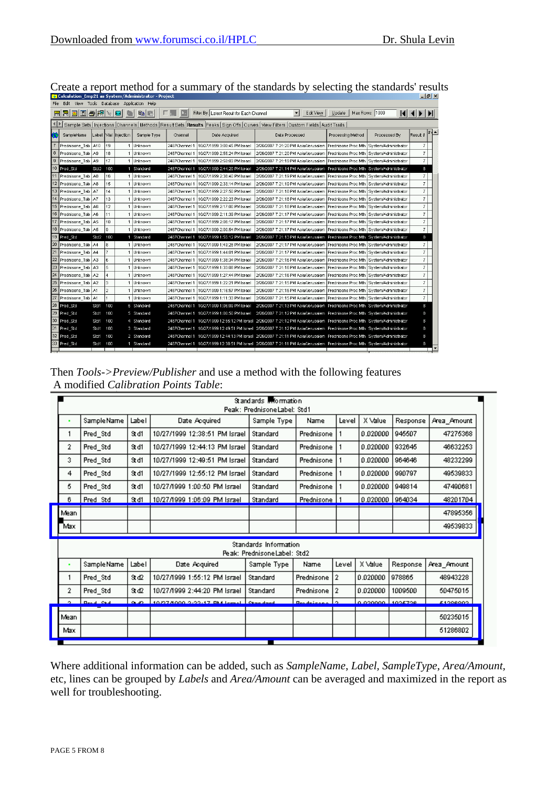|    | calculation chipzi as system/Auministrator - Project<br>$-1$ $-1$                                                                               |                  |                |                      |              |               |                                            |                                                                                                                          |                                            |                                            |                           |  |
|----|-------------------------------------------------------------------------------------------------------------------------------------------------|------------------|----------------|----------------------|--------------|---------------|--------------------------------------------|--------------------------------------------------------------------------------------------------------------------------|--------------------------------------------|--------------------------------------------|---------------------------|--|
|    | Application Help<br>Edit<br>View Tools Database                                                                                                 |                  |                |                      |              |               |                                            |                                                                                                                          |                                            |                                            |                           |  |
|    | ako 010 a                                                                                                                                       |                  |                | 鲁                    | г<br>e)<br>启 |               | Filter By: Latest Result for Each Channel  | $\blacksquare$<br>Edit View                                                                                              | Update                                     | Max Rows: 1000                             | $ 4 $ $ $ $ $ $ $ $ $ $ $ |  |
|    | Sample Sets   Injections   Channels   Methods   Result Sets   Results  Peaks   Sign Offs   Curves   View Filters   Custom Fields   Audit Trails |                  |                |                      |              |               |                                            |                                                                                                                          |                                            |                                            |                           |  |
| 谷  | SampleName                                                                                                                                      |                  |                | Label Vial Injection | Sample Type  | Channel       | Date Acquired                              | Date Processed                                                                                                           | Processing Method                          | Processed By                               | Result #                  |  |
|    | Prednisone Tab A10                                                                                                                              |                  | 19             |                      | Unknown      | 2487Channel 1 | 10/27/1999 3:00:45 PM Israel               | 2/26/2007 7:21:20 PM Asia/Jerusalem                                                                                      | Prednisone Proc Mth                        | System/Administrator                       | 7                         |  |
| 8  | Prednisone Tab                                                                                                                                  | A <sub>9</sub>   | 18             | 1                    | Unknown      | 2487Channel 1 | 10/27/1999 2:55:24 PM Israel               | 2/26/2007 7:21:20 PM Asia/Jerusalem                                                                                      |                                            | Prednisone Proc Mth System/Administrator   | 7                         |  |
| 9  | Prednisone Tab A9                                                                                                                               |                  | 17             |                      | Unknown      | 2487Channel 1 | 10/27/1999 2:50:03 PM Israel               | 2/26/2007 7:21:19 PM Asia/Jerusalem Prednisone Proc Mth System/Administrator                                             |                                            |                                            | 7                         |  |
| 10 | Pred Std                                                                                                                                        | Std <sub>2</sub> | 100            |                      | 1 Standard   | 2487Channel 1 | 10/27/1999 2:44:20 PM Israel               | 2/26/2007 7:21:14 PM Asia/Jerusalem Prednisone Proc Mth System/Administrator                                             |                                            |                                            | 8                         |  |
|    | Prednisone_Tab A8                                                                                                                               |                  | 16             |                      | Unknown      | 2487Channel 1 | 10/27/1999 2:38:40 PM Israel               | 2/26/2007 7:21:19 PM Asia/Jerusalem                                                                                      |                                            | Prednisone Proc Mth System/Administrator   | 7                         |  |
|    | 12 Prednisone Tab A8                                                                                                                            |                  | 15             |                      | Unknown      | 2487Channel 1 | 10/27/1999 2:33:14 PM Israel               | 2/26/2007 7:21:19 PM Asia/Jerusalem                                                                                      | Prednisone Proc Mth                        | System/Administrator                       | 7                         |  |
|    | 13 Prednisone Tab A7                                                                                                                            |                  | 14             |                      | Unknown      | 2487Channel 1 | 10/27/1999 2:27:50 PM Israel               | 2/26/2007 7:21:18 PM Asia/Jerusalem                                                                                      |                                            | Prednisone Proc Mth   System/Administrator | 7                         |  |
| 14 | Prednisone_Tab A7                                                                                                                               |                  | 13             |                      | Unknown      | 2487Channel 1 | 10/27/1999 2:22:23 PM Israel               | 2/26/2007 7:21:18 PM Asia/Jerusalem                                                                                      | Prednisone Proc Mth                        | System/Administrator                       | 7                         |  |
| 15 | Prednisone Tab A6                                                                                                                               |                  | 12             |                      | Unknown      | 2487Channel 1 | 10/27/1999 2:17:00 PM Israel               | 2/26/2007 7:21:18 PM Asia/Jerusalem                                                                                      |                                            | Prednisone Proc Mth   System/Administrator | $\overline{z}$            |  |
| 16 | Prednisone Tab A6                                                                                                                               |                  | 11             |                      | Unknown      | 2487Channel 1 | 10/27/1999 2:11:39 PM Israel               | 2/26/2007 7:21:17 PM Asia/Jerusalem                                                                                      |                                            | Prednisone Proc Mth System/Administrator   | $\overline{7}$            |  |
| 17 | Prednisone Tab A5                                                                                                                               |                  | 10             |                      | 1 Unknown    | 2487Channel 1 | 10/27/1999 2:06:17 PM Israel               | 2/26/2007 7:21:17 PM Asia/Jerusalem                                                                                      | Prednisone Proc Mth   System/Administrator |                                            | 7                         |  |
| 18 | Prednisone Tab A5                                                                                                                               |                  | l9.            |                      | Unknown      | 2487Channel 1 | 10/27/1999 2:00:54 PM Israel               | 2/26/2007 7:21:17 PM Asia/Jerusalem                                                                                      | Prednisone Proc Mth                        | System/Administrator                       | $\overline{7}$            |  |
| 19 | Pred Std                                                                                                                                        | Std2             | 100            |                      | 1 Standard   |               | 2487Channel 1 10/27/1999 1:55:12 PM Israel | 2/26/2007 7:21:13 PM Asia/Jerusalem Prednisone Proc Mth System/Administrator                                             |                                            |                                            | 8                         |  |
| 20 | Prednisone Tab A4                                                                                                                               |                  | 8              |                      | Unknown      | 2487Channel 1 | 10/27/1999 1:49:28 PM Israel               | 2/26/2007 7:21:17 PM Asia/Jerusalem                                                                                      |                                            | Prednisone Proc Mth System/Administrator   | 7                         |  |
| 21 | Prednisone Tab A4                                                                                                                               |                  | 7              |                      | Unknown      | 2487Channel 1 | 10/27/1999 1:44:01 PM Israel               | 2/26/2007 7:21:17 PM Asia/Jerusalem                                                                                      |                                            | Prednisone Proc Mth System/Administrator   | 7                         |  |
| 22 | Prednisone Tab A3                                                                                                                               |                  | 6              |                      | Unknown      | 2487Channel 1 | 10/27/1999 1:38:34 PM Israel               | 2/26/2007 7:21:16 PM Asia/Jerusalem                                                                                      |                                            | Prednisone Proc Mth   System/Administrator | 7                         |  |
| 23 | Prednisone Tab A3                                                                                                                               |                  | 5              |                      | Unknown      | 2487Channel 1 | 10/27/1999 1:33:08 PM Israel               | 2/26/2007 7:21:16 PM Asia/Jerusalem                                                                                      |                                            | Prednisone Proc Mth   System/Administrator | $\overline{7}$            |  |
| 24 | Prednisone Tab                                                                                                                                  | A <sub>2</sub>   | 4              |                      | Unknown      | 2487Channel 1 | 10/27/1999 1:27:44 PM Israel               | 2/26/2007 7:21:16 PM Asia/Jerusalem                                                                                      |                                            | Prednisone Proc Mth System/Administrator   | $\overline{7}$            |  |
| 25 | Prednisone Tab                                                                                                                                  | A2               | 3              |                      | Unknown      | 2487Channel 1 | 10/27/1999 1:22:21 PM Israel               | 2/26/2007 7:21:15 PM Asia/Jerusalem                                                                                      |                                            | Prednisone Proc Mth   System/Administrator | 7                         |  |
| 26 | Prednisone Tab A1                                                                                                                               |                  | $\overline{2}$ |                      | 1 Unknown    | 2487Channel 1 | 10/27/1999 1:16:57 PM Israel               | 2/26/2007 7:21:15 PM Asia/Jerusalem                                                                                      | Prednisone Proc Mth   System/Administrator |                                            | 7                         |  |
| 27 | ∣Prednisone Tab   A1                                                                                                                            |                  |                |                      | Unknown      | 2487Channel 1 | 10/27/1999 1:11:33 PM Israel               | 2/26/2007 7:21:15 PM Asia/Jerusalem                                                                                      |                                            | Prednisone Proc Mth System/Administrator   | 7                         |  |
| 28 | Pred Std                                                                                                                                        | Std1             | 100            |                      | 6 Standard   |               | 2487Channel 1 10/27/1999 1:06:09 PM Israel | 2/26/2007 7:21:13 PM Asia/Jerusalem Prednisone Proc Mth System/Administrator                                             |                                            |                                            | 8                         |  |
|    | 29 Pred Std                                                                                                                                     | Std1             | 100            |                      | 5 Standard   |               | 2487Channel 1 10/27/1999 1:00:50 PM Israel | 2/26/2007 7:21:12 PM Asia/Jerusalem Prednisone Proc Mth System/Administrator                                             |                                            |                                            | 8                         |  |
|    | 30 Pred_Std                                                                                                                                     | Std1             | 100            |                      | 4 Standard   |               |                                            | 2487Channel 1 10/27/1999 12:55:12 PM Israel 2/26/2007 7:21:12 PM Asia/Jerusalem Prednisone Proc Mth System/Administrator |                                            |                                            | 8                         |  |
| 31 | Pred Std                                                                                                                                        | Std1             | 100            |                      | 3 Standard   |               |                                            | 2487Channel 1 10/27/1999 12:49:51 PM Israel 2/26/2007 7:21:12 PM Asia/Jerusalem Prednisone Proc Mth System/Administrator |                                            |                                            | 8                         |  |
| 32 | Pred_Std                                                                                                                                        | Std1 100         |                |                      | 2 Standard   |               |                                            | 2487Channel 1 10/27/1999 12:44:13 PM Israel 2/26/2007 7:21:11 PM Asia/Jerusalem Prednisone Proc Mth System/Administrator |                                            |                                            | 8                         |  |
|    | 33 Pred_Std                                                                                                                                     | Std1 100         |                |                      | 1 Standard   |               |                                            | 2487Channel 1 10/27/1999 12:38:51 PM Israel 2/26/2007 7:21:11 PM Asia/Jerusalem Prednisone Proc Mth System/Administrator |                                            |                                            | 8                         |  |
|    |                                                                                                                                                 |                  |                |                      |              |               |                                            |                                                                                                                          |                                            |                                            |                           |  |

Create a report method for a summary of the standards by selecting the standards' results

Then *Tools->Preview/Publisher* and use a method with the following features A modified *Calibration Points Table*:

|      |             |       |                               | Standards Mormation<br>Peak: PrednisoneLabel: Std1   |                  |       |                 |          |             |
|------|-------------|-------|-------------------------------|------------------------------------------------------|------------------|-------|-----------------|----------|-------------|
|      | Sample Name | Label | Date Acquired                 | Sample Type                                          | Name             | Level | X Value         | Response | Area Amount |
| 1    | Pred Std    | 9t d1 | 10/27/1999 12:38:51 PM Israel | Standard                                             | Prednisone       |       | 0.020000        | 945507   | 47275368    |
| 2    | Pred_Std    | 9t d1 | 10/27/1999 12:44:13 PM Israel | Standard                                             | Prednisone       |       | 0.020000        | 932645   | 46632253    |
| 3    | Pred_Std    | 9t d1 | 10/27/1999 12:49:51 PM Israel | Standard                                             | Prednisone       |       | 0.020000        | 964646   | 48232299    |
| 4    | Pred_Std    | 9t d1 | 10/27/1999 12:55:12 PM Israel | Standard                                             | Prednisone       |       | 0.020000        | 990797   | 49539833    |
| 5.   | Pred Std    | 9t d1 | 10/27/1999 1:00:50 PM Israel  | Standard                                             | Prednisone       |       | 0.020000        | 949814   | 47490681    |
| 6.   | Pred Std    | 9td1  | 10/27/1999 1:06:09 PM Israel  | Standard                                             | Prednisone       |       | 0.020000 964034 |          | 48201704    |
| Mean |             |       |                               |                                                      |                  |       |                 |          | 47895356    |
| Max  |             |       |                               |                                                      |                  |       |                 |          | 49539833    |
|      |             |       |                               | Standards Information<br>Peak: PrednisoneLabel: Std2 |                  |       |                 |          |             |
|      | Sample Name | Label | Date Acquired                 | Sample Type                                          | Name             | Level | X Value         | Response | Area_Amount |
| 1    | Pred Std    | Std2  | 10/27/1999 1:55:12 PM Israel  | Standard                                             | Prednisone       | 2     | 0.020000        | 978865   | 48943228    |
| 2.   | Pred Std    | Std2  | 10/27/1999 2:44:20 PM Israel  | Standard                                             | Prednisone       | 2     | 0.020000        | 1009500  | 50475015    |
| o.   | Beach, Orch | 0.50  | 10/27/1000 2:22:17 RM lemal.  | <b>Chandard</b>                                      | <b>Beadaices</b> | o.    | 0.020000.       | 1025728  | C0090CE3    |
|      |             |       |                               |                                                      |                  |       |                 |          |             |
| Mean |             |       |                               |                                                      |                  |       |                 |          | 50235015    |

Where additional information can be added, such as *SampleName*, *Label, SampleType*, *Area/Amount,* etc, lines can be grouped by *Labels* and *Area/Amount* can be averaged and maximized in the report as well for troubleshooting.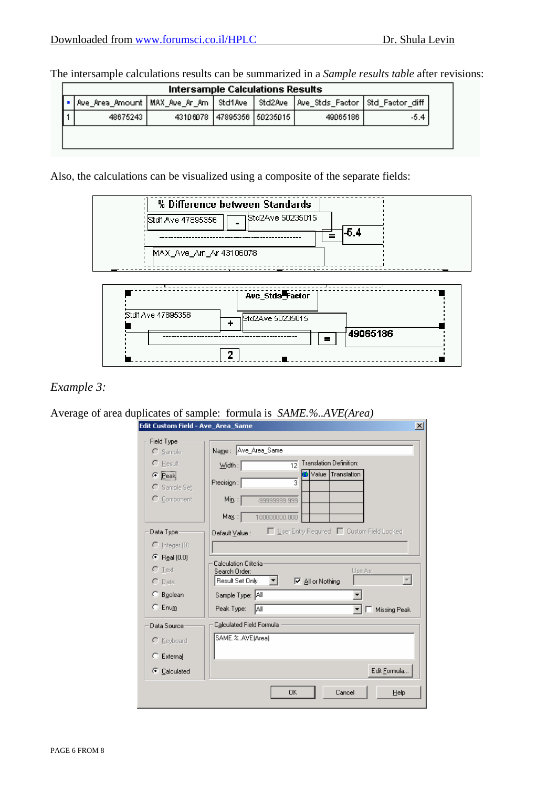.

The intersample calculations results can be summarized in a *Sample results table* after revisions:

| Intersample Calculations Results          |  |  |                            |                                             |      |  |  |
|-------------------------------------------|--|--|----------------------------|---------------------------------------------|------|--|--|
| Ave_Area_Amount   MAX_Ave_Ar_Am   Std1Ave |  |  |                            | Std2Ave   Ave_Stds_Factor   Std_Factor_diff |      |  |  |
| 48675243                                  |  |  | 43106078 47895356 50235015 | 49065186                                    | -5.4 |  |  |
|                                           |  |  |                            |                                             |      |  |  |

Also, the calculations can be visualized using a composite of the separate fields:



## *Example 3:*

Average of area duplicates of sample: formula is *SAME.%..AVE(Area)*

| Edit Custom Field - Ave Area Same | $\mathbf{x}$                                                   |
|-----------------------------------|----------------------------------------------------------------|
| Field Type                        |                                                                |
| $\bigcap$ Sample                  | Name: Ave_Area_Same                                            |
| $\Gamma$ Result                   | <b>Translation Definition:</b><br>$\overline{12}$<br>$W$ idth: |
| $\bullet$ Peak<br>$C$ Sample Set  | Translation<br>Value  <br>Precision:<br>3                      |
| $\Gamma$ Component                | Min:<br>-99999999.999                                          |
|                                   | Ma <u>x</u> . : [<br>100000000.000                             |
| Data Type:                        | □ User Entry Required ■ Custom Field Locked<br>Default Value : |
| $\bigcirc$ Integer (0)            |                                                                |
| $\bullet$ Real (0.0)              | Calculation Criteria                                           |
| $\Gamma$ Text                     | Use As:<br>Search Order:                                       |
| $\cap$ Date                       | Result Set Only<br>$\nabla$ All or Nothing<br>▾                |
| $\heartsuit$ Boolean              | Sample Type: All                                               |
| $\degree$ Enum                    | Peak Type:<br>IAII.<br><b>Missing Peak</b>                     |
| Data Source                       | Calculated Field Formula                                       |
| $C$ Keyboard                      | SAME.%.AVE(Area)                                               |
| $\subseteq$ External              |                                                                |
| C Calculated                      | Edit Formula                                                   |
|                                   | Cancel<br>0K<br>Help                                           |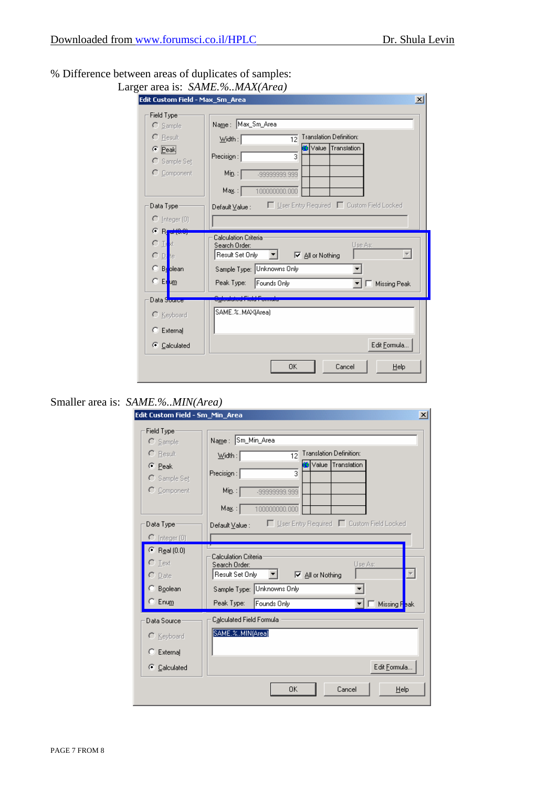### % Difference between areas of duplicates of samples: Larger **Larger**

|                                                   | Edit Custom Field - Max Sm Area<br>$\vert x \vert$                                                     |
|---------------------------------------------------|--------------------------------------------------------------------------------------------------------|
| Field Type:<br>$\bigcirc$ Sample                  | Name: Max_Sm_Area                                                                                      |
| $\bigcap$ Result<br>$\bullet$ Peak                | <b>Translation Definition:</b><br>$W$ idth:<br>$\overline{12}$<br>Value Translation<br>Precision:<br>3 |
| $C$ Sample Set<br>$\Gamma$ Component              | Min:<br>-99999999.999                                                                                  |
|                                                   | Ma <u>x</u> . : [<br>100000000.000                                                                     |
| Data Type                                         | □ User Entry Required □ Custom Field Locked<br>Default Value :                                         |
| $\bigcirc$ Integer (0)                            |                                                                                                        |
| $\odot$ B <sub>I</sub> -d(0.0)<br>CД<br><b>kt</b> | <b>Calculation Criteria</b><br>Use As:<br>Search Order:                                                |
| $\Box$ Le                                         | Result Set Only<br><b>▽</b> All or Nothing                                                             |
| $\bigcirc$ Beolean                                | Sample Type: Unknowns Only                                                                             |
| $\subset$ Erum                                    | Peak Type:<br>Founds Only<br><b>Missing Peak</b>                                                       |
| Data Source                                       |                                                                                                        |
| C Keyboard                                        | SAME.%MAX(Area)                                                                                        |
| $C$ External                                      |                                                                                                        |
| C Calculated                                      | Edit Formula                                                                                           |

# Smaller area is: *SAME.%..MIN(Area)*

| Edit Custom Field - Sm_Min_Area | $\vert x \vert$                                                                     |
|---------------------------------|-------------------------------------------------------------------------------------|
| Field Type:                     |                                                                                     |
| $\bigcap$ Sample                | Name: Sm_Min_Area                                                                   |
| $\cap$ Result                   | Translation Definition:<br>$\overline{12}$<br>$\underline{\text{W}}$ idth : $\vert$ |
| $\subseteq$ Peak                | Value Translation<br>3                                                              |
| C Sample Set                    | Precision:                                                                          |
| $C$ Component                   | $\mathsf{Min}$ : $\vert$<br>-99999999.999                                           |
|                                 | Ma <u>x</u> . :  <br>100000000.000                                                  |
| Data Type                       | □ User Entry Required □ Custom Field Locked<br>Default Value :                      |
| $\bigcap$ [nteger (0)           |                                                                                     |
| $\bullet$ Real (0.0)            |                                                                                     |
| $\Gamma$ Text                   | Calculation Criteria<br>Use As:<br>Search Order:                                    |
| $\cap$ Date                     | Result Set Only<br>▾<br><b>▽</b> All or Nothing                                     |
| C Boolean                       | Sample Type: Unknowns Only                                                          |
| $\subset$ Enum                  | Peak Type:<br>Founds Only<br>Missing F <mark>eak</mark>                             |
|                                 |                                                                                     |
| Data Source                     | Calculated Field Formula                                                            |
| C Keyboard                      | SAME.%MIN(Area)                                                                     |
| External<br>o                   |                                                                                     |
|                                 |                                                                                     |
| C Calculated                    | Edit Formula                                                                        |